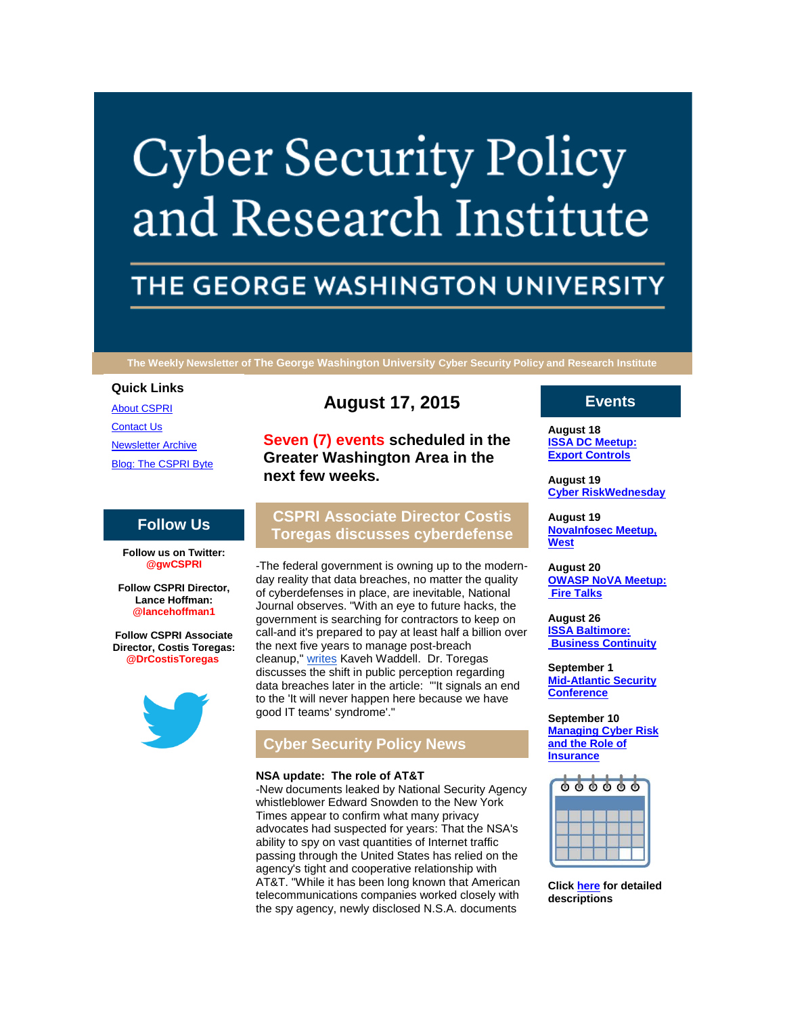# **Cyber Security Policy** and Research Institute

# THE GEORGE WASHINGTON UNIVERSITY

**The Weekly Newsletter of The George Washington University Cyber Security Policy and Research Institute**

#### **Quick Links**

[About CSPRI](http://r20.rs6.net/tn.jsp?e=001uQ3yah-4Z2asPLJbqcZ3n09viJmdb7oMIVDefBUvF0Yz-vzckVgsk_7WFUV-R_pZyzQap_YQJYx0KX5k9frqJvkpwDR3hCeMT6dUi-05A5ABsq4nJPpFydjOXgCEqzGI) [Contact Us](http://r20.rs6.net/tn.jsp?e=001uQ3yah-4Z2asPLJbqcZ3n09viJmdb7oMIVDefBUvF0Yz-vzckVgsk_7WFUV-R_pZyzQap_YQJYx0KX5k9frqJvkpwDR3hCeMT6dUi-05A5DwxPU5c5QlhGkrGfQAPT_tuhSB9F2rpdM=) **[Newsletter Archive](http://r20.rs6.net/tn.jsp?e=001uQ3yah-4Z2asPLJbqcZ3n09viJmdb7oMIVDefBUvF0Yz-vzckVgsk_7WFUV-R_pZyzQap_YQJYx0KX5k9frqJvkpwDR3hCeMT6dUi-05A5AmuXre19tkriDSnS5Sc74zTuSjCSKProM=)** [Blog: The CSPRI Byte](http://r20.rs6.net/tn.jsp?e=001uQ3yah-4Z2asPLJbqcZ3n09viJmdb7oMIVDefBUvF0Yz-vzckVgsk_7WFUV-R_pZyzQap_YQJYx0KX5k9frqJvkpwDR3hCeMT6dUi-05A5B6SeYLa2Rsap7WWk2svycd)

#### **Follow Us**

**Follow us on Twitter: @gwCSPRI**

**Follow CSPRI Director, Lance Hoffman: @lancehoffman1**

**Follow CSPRI Associate Director, Costis Toregas: @DrCostisToregas**



# **August 17, 2015**

**Seven (7) events scheduled in the Greater Washington Area in the next few weeks.**

# **CSPRI Associate Director Costis Toregas discusses cyberdefense**

-The federal government is owning up to the modernday reality that data breaches, no matter the quality of cyberdefenses in place, are inevitable, National Journal observes. "With an eye to future hacks, the government is searching for contractors to keep on call-and it's prepared to pay at least half a billion over the next five years to manage post-breach cleanup," [writes](http://r20.rs6.net/tn.jsp?e=001uQ3yah-4Z2asPLJbqcZ3n09viJmdb7oMIVDefBUvF0Yz-vzckVgsk_7WFUV-R_pZyzQap_YQJYy2zVsGj1WVObLw7HWHhcFqs_YeZ67NAkeIjfcclpFd4uy8vE4pX5DaZVm7W9vwObbAgVx8m6IiT8Fcaf--BMuGbgoFoNasrfGlQ-HVFGYB41IGPZ2fQmOjoRpcKDwIc5cng_hjzbkyfZY7Ni0WKKs18WE8iwN4Qj5ttRPSG2UQ9A==) Kaveh Waddell. Dr. Toregas discusses the shift in public perception regarding data breaches later in the article: "'It signals an end to the 'It will never happen here because we have good IT teams' syndrome'."

## **Cyber Security Policy News**

#### **NSA update: The role of AT&T**

-New documents leaked by National Security Agency whistleblower Edward Snowden to the New York Times appear to confirm what many privacy advocates had suspected for years: That the NSA's ability to spy on vast quantities of Internet traffic passing through the United States has relied on the agency's tight and cooperative relationship with AT&T. "While it has been long known that American telecommunications companies worked closely with the spy agency, newly disclosed N.S.A. documents

### **Events**

**August 18 [ISSA DC Meetup:](http://r20.rs6.net/tn.jsp?e=001uQ3yah-4Z2asPLJbqcZ3n09viJmdb7oMIVDefBUvF0Yz-vzckVgsk_7WFUV-R_pZyzQap_YQJYx0KX5k9frqJvkpwDR3hCeMT6dUi-05A5AZdpMjUUtjY1SPk-zR3UH378jXtgjMnrE=)  [Export Controls](http://r20.rs6.net/tn.jsp?e=001uQ3yah-4Z2asPLJbqcZ3n09viJmdb7oMIVDefBUvF0Yz-vzckVgsk_7WFUV-R_pZyzQap_YQJYx0KX5k9frqJvkpwDR3hCeMT6dUi-05A5AZdpMjUUtjY1SPk-zR3UH378jXtgjMnrE=)**

**August 19 [Cyber RiskWednesday](http://r20.rs6.net/tn.jsp?e=001uQ3yah-4Z2asPLJbqcZ3n09viJmdb7oMIVDefBUvF0Yz-vzckVgsk_7WFUV-R_pZyzQap_YQJYx0KX5k9frqJvkpwDR3hCeMT6dUi-05A5AZdpMjUUtjY1SPk-zR3UH378jXtgjMnrE=)**

**August 19 [NovaInfosec Meetup,](http://r20.rs6.net/tn.jsp?e=001uQ3yah-4Z2asPLJbqcZ3n09viJmdb7oMIVDefBUvF0Yz-vzckVgsk_7WFUV-R_pZyzQap_YQJYx0KX5k9frqJvkpwDR3hCeMT6dUi-05A5AZdpMjUUtjY1SPk-zR3UH378jXtgjMnrE=)  [West](http://r20.rs6.net/tn.jsp?e=001uQ3yah-4Z2asPLJbqcZ3n09viJmdb7oMIVDefBUvF0Yz-vzckVgsk_7WFUV-R_pZyzQap_YQJYx0KX5k9frqJvkpwDR3hCeMT6dUi-05A5AZdpMjUUtjY1SPk-zR3UH378jXtgjMnrE=)**

**August 20 [OWASP NoVA Meetup:](http://r20.rs6.net/tn.jsp?e=001uQ3yah-4Z2asPLJbqcZ3n09viJmdb7oMIVDefBUvF0Yz-vzckVgsk_7WFUV-R_pZyzQap_YQJYx0KX5k9frqJvkpwDR3hCeMT6dUi-05A5AZdpMjUUtjY1SPk-zR3UH378jXtgjMnrE=)  [Fire Talks](http://r20.rs6.net/tn.jsp?e=001uQ3yah-4Z2asPLJbqcZ3n09viJmdb7oMIVDefBUvF0Yz-vzckVgsk_7WFUV-R_pZyzQap_YQJYx0KX5k9frqJvkpwDR3hCeMT6dUi-05A5AZdpMjUUtjY1SPk-zR3UH378jXtgjMnrE=)**

**August 26 [ISSA Baltimore:](http://r20.rs6.net/tn.jsp?e=001uQ3yah-4Z2asPLJbqcZ3n09viJmdb7oMIVDefBUvF0Yz-vzckVgsk_7WFUV-R_pZyzQap_YQJYx0KX5k9frqJvkpwDR3hCeMT6dUi-05A5AZdpMjUUtjY1SPk-zR3UH378jXtgjMnrE=)  [Business Continuity](http://r20.rs6.net/tn.jsp?e=001uQ3yah-4Z2asPLJbqcZ3n09viJmdb7oMIVDefBUvF0Yz-vzckVgsk_7WFUV-R_pZyzQap_YQJYx0KX5k9frqJvkpwDR3hCeMT6dUi-05A5AZdpMjUUtjY1SPk-zR3UH378jXtgjMnrE=)**

**September 1 [Mid-Atlantic Security](http://r20.rs6.net/tn.jsp?e=001uQ3yah-4Z2asPLJbqcZ3n09viJmdb7oMIVDefBUvF0Yz-vzckVgsk_7WFUV-R_pZyzQap_YQJYx0KX5k9frqJvkpwDR3hCeMT6dUi-05A5AZdpMjUUtjY1SPk-zR3UH378jXtgjMnrE=)  [Conference](http://r20.rs6.net/tn.jsp?e=001uQ3yah-4Z2asPLJbqcZ3n09viJmdb7oMIVDefBUvF0Yz-vzckVgsk_7WFUV-R_pZyzQap_YQJYx0KX5k9frqJvkpwDR3hCeMT6dUi-05A5AZdpMjUUtjY1SPk-zR3UH378jXtgjMnrE=)**

**September 10 [Managing Cyber Risk](http://r20.rs6.net/tn.jsp?e=001uQ3yah-4Z2asPLJbqcZ3n09viJmdb7oMIVDefBUvF0Yz-vzckVgsk_7WFUV-R_pZyzQap_YQJYx0KX5k9frqJvkpwDR3hCeMT6dUi-05A5AZdpMjUUtjY1SPk-zR3UH378jXtgjMnrE=)  [and the Role of](http://r20.rs6.net/tn.jsp?e=001uQ3yah-4Z2asPLJbqcZ3n09viJmdb7oMIVDefBUvF0Yz-vzckVgsk_7WFUV-R_pZyzQap_YQJYx0KX5k9frqJvkpwDR3hCeMT6dUi-05A5AZdpMjUUtjY1SPk-zR3UH378jXtgjMnrE=)  [Insurance](http://r20.rs6.net/tn.jsp?e=001uQ3yah-4Z2asPLJbqcZ3n09viJmdb7oMIVDefBUvF0Yz-vzckVgsk_7WFUV-R_pZyzQap_YQJYx0KX5k9frqJvkpwDR3hCeMT6dUi-05A5AZdpMjUUtjY1SPk-zR3UH378jXtgjMnrE=)**



**Click [here](http://r20.rs6.net/tn.jsp?e=001uQ3yah-4Z2asPLJbqcZ3n09viJmdb7oMIVDefBUvF0Yz-vzckVgsk_7WFUV-R_pZyzQap_YQJYx0KX5k9frqJvkpwDR3hCeMT6dUi-05A5AZdpMjUUtjY1SPk-zR3UH3Pr1zGi_8ovUCkmv8nL-BlA==) for detailed descriptions**